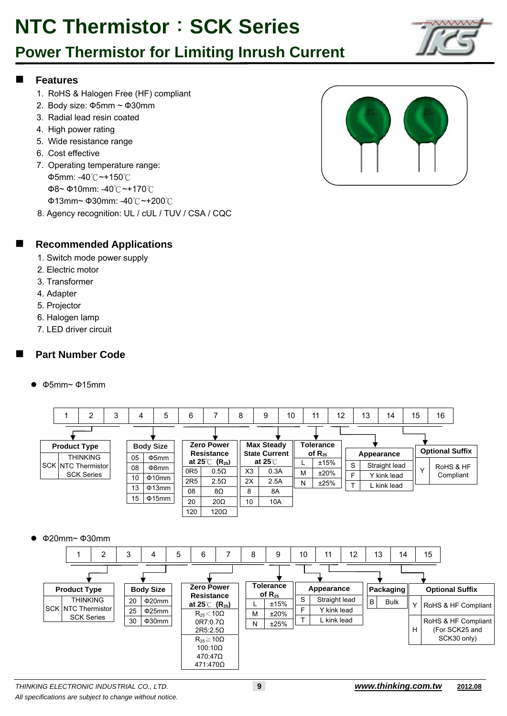## **Power Thermistor for Limiting Inrush Current**

#### **Features**

- 1. RoHS & Halogen Free (HF) compliant
- 2. Body size: Ф5mm ~ Ф30mm
- 3. Radial lead resin coated
- 4. High power rating
- 5. Wide resistance range
- 6. Cost effective
- 7. Operating temperature range: Ф5mm: -40℃~+150℃ Ф8~ Ф10mm: -40℃~+170℃ Ф13mm~ Ф30mm: -40℃~+200℃
- 8. Agency recognition: UL / cUL / TUV / CSA / CQC



#### **Recommended Applications**

- 1. Switch mode power supply
- 2. Electric motor
- 3. Transformer
- 4. Adapter
- 5. Projector
- 6. Halogen lamp
- 7. LED driver circuit

### **Part Number Code**

Ф5mm~ Ф15mm



Ф20mm~ Ф30mm

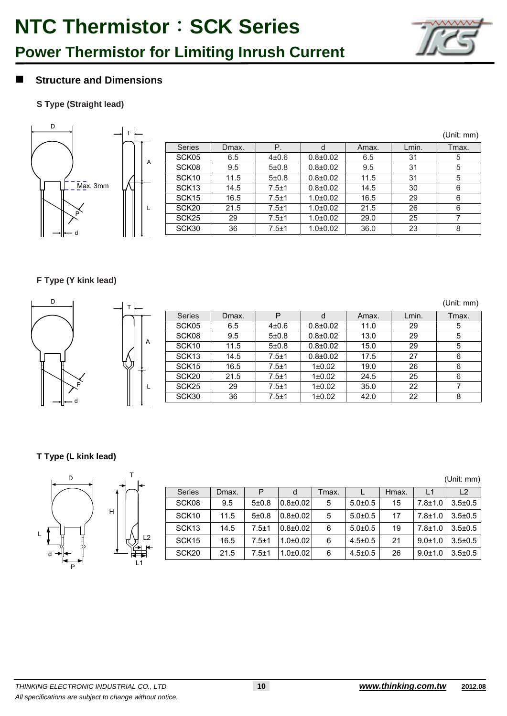

### **Power Thermistor for Limiting Inrush Current**

### **Structure and Dimensions**

#### **S Type (Straight lead)**



|                   |       |           |              |       |       | (Unit: mm) |
|-------------------|-------|-----------|--------------|-------|-------|------------|
| <b>Series</b>     | Dmax. | Р.        | d            | Amax. | Lmin. | Tmax.      |
| SCK05             | 6.5   | $4 + 0.6$ | $0.8 + 0.02$ | 6.5   | 31    | 5          |
| SCK08             | 9.5   | 5±0.8     | $0.8 + 0.02$ | 9.5   | 31    | 5          |
| SCK <sub>10</sub> | 11.5  | 5±0.8     | $0.8 + 0.02$ | 11.5  | 31    | 5          |
| SCK <sub>13</sub> | 14.5  | $7.5 + 1$ | $0.8 + 0.02$ | 14.5  | 30    | 6          |
| SCK <sub>15</sub> | 16.5  | $7.5 + 1$ | $1.0 + 0.02$ | 16.5  | 29    | 6          |
| SCK <sub>20</sub> | 21.5  | $7.5 + 1$ | $1.0 + 0.02$ | 21.5  | 26    | 6          |
| SCK <sub>25</sub> | 29    | $7.5 + 1$ | $1.0 + 0.02$ | 29.0  | 25    |            |
| SCK30             | 36    | $7.5 + 1$ | $1.0 + 0.02$ | 36.0  | 23    | 8          |

#### **F Type (Y kink lead)**

| D    |   |                   |       |           |                |       |       | (Unit: mm) |
|------|---|-------------------|-------|-----------|----------------|-------|-------|------------|
|      |   | <b>Series</b>     | Dmax. | P         |                | Amax. | Lmin. | Tmax.      |
|      |   | SCK05             | 6.5   | $4 + 0.6$ | $0.8{\pm}0.02$ | 11.0  | 29    | 5          |
|      |   | SCK08             | 9.5   | 5±0.8     | $0.8{\pm}0.02$ | 13.0  | 29    | 5          |
|      | A | SCK <sub>10</sub> | 11.5  | 5±0.8     | $0.8{\pm}0.02$ | 15.0  | 29    | 5          |
|      |   | SCK <sub>13</sub> | 14.5  | $7.5 + 1$ | $0.8{\pm}0.02$ | 17.5  | 27    | 6          |
|      |   | SCK <sub>15</sub> | 16.5  | $7.5 + 1$ | 1±0.02         | 19.0  | 26    | 6          |
|      |   | SCK <sub>20</sub> | 21.5  | $7.5 + 1$ | $1\pm0.02$     | 24.5  | 25    | 6          |
|      |   | SCK <sub>25</sub> | 29    | $7.5 + 1$ | $1\pm0.02$     | 35.0  | 22    |            |
| l— a |   | SCK30             | 36    | $7.5 + 1$ | 1±0.02         | 42.0  | 22    | 8          |
|      |   |                   |       |           |                |       |       |            |

#### **T Type (L kink lead)**



L2

|                   |       |           |              |       |               |       |               | (Unit: mm)     |
|-------------------|-------|-----------|--------------|-------|---------------|-------|---------------|----------------|
| <b>Series</b>     | Dmax. | P         | d            | Tmax. |               | Hmax. |               | L <sub>2</sub> |
| SCK08             | 9.5   | 5±0.8     | $0.8 + 0.02$ | 5     | $5.0 + 0.5$   | 15    | $7.8 + 1.0$   | $3.5 \pm 0.5$  |
| SCK <sub>10</sub> | 11.5  | 5±0.8     | $0.8 + 0.02$ | 5     | $5.0 + 0.5$   | 17    | $7.8 + 1.0$   | $3.5 \pm 0.5$  |
| SCK <sub>13</sub> | 14.5  | $7.5 + 1$ | $0.8 + 0.02$ | 6     | $5.0 \pm 0.5$ | 19    | $7.8 + 1.0$   | $3.5 \pm 0.5$  |
| SCK <sub>15</sub> | 16.5  | $7.5 + 1$ | $1.0 + 0.02$ | 6     | $4.5 \pm 0.5$ | 21    | $9.0 \pm 1.0$ | $3.5 \pm 0.5$  |
| SCK <sub>20</sub> | 21.5  | $7.5 + 1$ | $1.0 + 0.02$ | 6     | $4.5 \pm 0.5$ | 26    | $9.0 \pm 1.0$ | $3.5 \pm 0.5$  |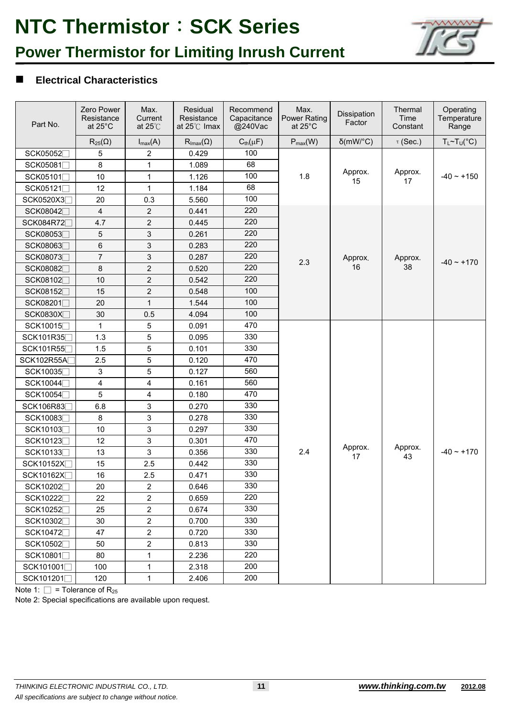

### **Power Thermistor for Limiting Inrush Current**

#### **Electrical Characteristics**

| Part No.                             | Zero Power<br>Resistance<br>at $25^{\circ}$ C | Max.<br>Current<br>at $25^{\circ}$ C | Residual<br>Resistance<br>at 25°C Imax | Recommend<br>Capacitance<br>@240Vac | Max.<br><b>Power Rating</b><br>at $25^{\circ}$ C | Dissipation<br>Factor | Thermal<br>Time<br>Constant | Operating<br>Temperature<br>Range |  |
|--------------------------------------|-----------------------------------------------|--------------------------------------|----------------------------------------|-------------------------------------|--------------------------------------------------|-----------------------|-----------------------------|-----------------------------------|--|
|                                      | $R_{25}(\Omega)$                              | $I_{max}(A)$                         | $\mathsf{R}_{\mathsf{Imax}}(\Omega)$   | $C_{\text{th}}(\mu F)$              | $P_{max}(W)$                                     | $\delta$ (mW/°C)      | $\tau$ (Sec.)               | $T_L \sim T_U({}^{\circ}C)$       |  |
| SCK05052                             | 5                                             | $\boldsymbol{2}$                     | 0.429                                  | 100                                 |                                                  |                       |                             |                                   |  |
| SCK05081□                            | 8                                             | $\mathbf 1$                          | 1.089                                  | 68                                  |                                                  |                       |                             |                                   |  |
| SCK05101                             | 10                                            | $\mathbf{1}$                         | 1.126                                  | 100                                 | 1.8                                              | Approx.<br>15         | Approx.<br>17               | $-40 - +150$                      |  |
| SCK05121□                            | 12                                            | $\mathbf{1}$                         | 1.184                                  | 68                                  |                                                  |                       |                             |                                   |  |
| SCK0520X3                            | 20                                            | 0.3                                  | 5.560                                  | 100                                 |                                                  |                       |                             |                                   |  |
| SCK08042                             | 4                                             | $\overline{c}$                       | 0.441                                  | 220                                 |                                                  |                       |                             |                                   |  |
| SCK084R72                            | 4.7                                           | $\overline{2}$                       | 0.445                                  | 220                                 |                                                  |                       |                             |                                   |  |
| SCK08053                             | 5                                             | 3                                    | 0.261                                  | 220                                 |                                                  |                       |                             |                                   |  |
| SCK08063                             | 6                                             | 3                                    | 0.283                                  | 220                                 |                                                  |                       |                             |                                   |  |
| SCK08073                             | $\overline{7}$                                | 3                                    | 0.287                                  | 220                                 | 2.3                                              | Approx.               | Approx.                     | $-40 - +170$                      |  |
| SCK08082                             | 8                                             | $\overline{2}$                       | 0.520                                  | 220                                 |                                                  | 16                    | 38                          |                                   |  |
| SCK08102□                            | 10                                            | $\overline{2}$                       | 0.542                                  | 220                                 |                                                  |                       |                             |                                   |  |
| SCK08152                             | 15                                            | $\overline{2}$                       | 0.548                                  | 100                                 |                                                  |                       |                             |                                   |  |
| SCK08201□                            | 20                                            | $\mathbf{1}$                         | 1.544                                  | 100                                 |                                                  |                       |                             |                                   |  |
| SCK0830X                             | 30                                            | 0.5                                  | 4.094                                  | 100                                 |                                                  |                       |                             |                                   |  |
| SCK10015                             | 1                                             | 5                                    | 0.091                                  | 470                                 |                                                  |                       |                             |                                   |  |
| SCK101R35                            | 1.3                                           | 5                                    | 0.095                                  | 330                                 |                                                  |                       |                             |                                   |  |
| SCK101R55                            | 1.5                                           | 5                                    | 0.101                                  | 330                                 |                                                  |                       |                             |                                   |  |
| SCK102R55A                           | 2.5                                           | 5                                    | 0.120                                  | 470                                 |                                                  |                       |                             |                                   |  |
| SCK10035                             | $\mathfrak{S}$                                | 5                                    | 0.127                                  | 560                                 |                                                  |                       |                             |                                   |  |
| SCK10044                             | 4                                             | 4                                    | 0.161                                  | 560                                 |                                                  |                       |                             |                                   |  |
| SCK10054                             | 5                                             | 4                                    | 0.180                                  | 470                                 |                                                  |                       |                             |                                   |  |
| SCK106R83                            | 6.8                                           | 3                                    | 0.270                                  | 330                                 |                                                  |                       |                             |                                   |  |
| SCK10083                             | 8                                             | 3                                    | 0.278                                  | 330                                 |                                                  |                       |                             |                                   |  |
| SCK10103                             | 10                                            | 3                                    | 0.297                                  | 330                                 |                                                  |                       |                             |                                   |  |
| SCK10123□                            | 12                                            | 3                                    | 0.301                                  | 470                                 |                                                  |                       |                             |                                   |  |
| SCK10133                             | 13                                            | 3                                    | 0.356                                  | 330                                 | 2.4                                              | Approx.<br>17         | Approx.<br>43               | $-40 - +170$                      |  |
| SCK10152X                            | 15                                            | 2.5                                  | 0.442                                  | 330                                 |                                                  |                       |                             |                                   |  |
| SCK10162X                            | 16                                            | 2.5                                  | 0.471                                  | 330                                 |                                                  |                       |                             |                                   |  |
| SCK10202                             | 20                                            | 2                                    | 0.646                                  | 330                                 |                                                  |                       |                             |                                   |  |
| SCK10222                             | 22                                            | $\overline{2}$                       | 0.659                                  | 220                                 |                                                  |                       |                             |                                   |  |
| SCK10252                             | 25                                            | $\overline{\mathbf{c}}$              | 0.674                                  | 330                                 |                                                  |                       |                             |                                   |  |
| SCK10302                             | 30                                            | $\overline{c}$                       | 0.700                                  | 330                                 |                                                  |                       |                             |                                   |  |
| SCK10472                             | 47                                            | 2                                    | 0.720                                  | 330                                 |                                                  |                       |                             |                                   |  |
| SCK10502                             | 50                                            | $\overline{\mathbf{c}}$              | 0.813                                  | 330                                 |                                                  |                       |                             |                                   |  |
| SCK10801□<br>SCK101001<br>SCK101201□ | 80                                            | 1                                    | 2.236                                  | 220                                 |                                                  |                       |                             |                                   |  |
|                                      | 100                                           | 1                                    | 2.318                                  | 200                                 |                                                  |                       |                             |                                   |  |
|                                      | 120                                           | $\mathbf 1$                          | 2.406                                  | 200                                 |                                                  |                       |                             |                                   |  |

Note 1:  $\square$  = Tolerance of R<sub>25</sub>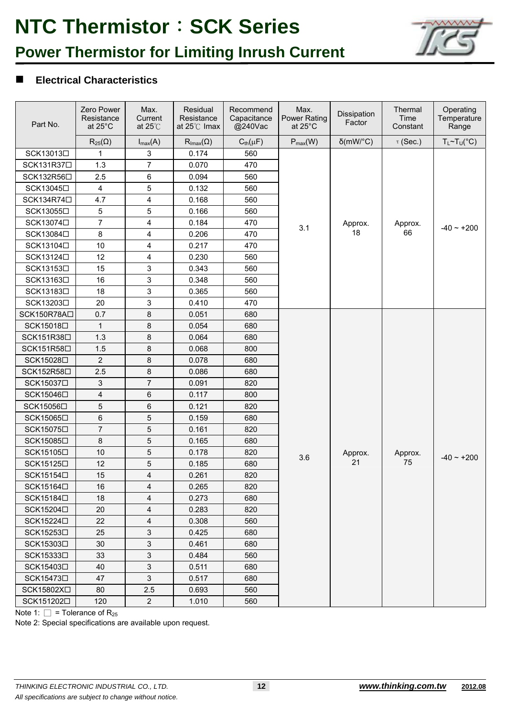

### **Power Thermistor for Limiting Inrush Current**

### **Electrical Characteristics**

| Part No.                | Zero Power<br>Resistance<br>at $25^{\circ}$ C | Max.<br>Current<br>at $25^{\circ}$ C | Residual<br>Resistance<br>at 25°C Imax | Recommend<br>Capacitance<br>@240Vac | Max.<br><b>Power Rating</b><br>at 25°C | Dissipation<br>Factor | Thermal<br>Time<br>Constant | Operating<br>Temperature<br>Range |
|-------------------------|-----------------------------------------------|--------------------------------------|----------------------------------------|-------------------------------------|----------------------------------------|-----------------------|-----------------------------|-----------------------------------|
|                         | $R_{25}(\Omega)$                              | $I_{max}(A)$                         | $\mathsf{R}_{\mathsf{Imax}}(\Omega)$   | $C_{\text{th}}(\mu F)$              | $P_{max}(W)$                           | $\delta$ (mW/°C)      | $\tau$ (Sec.)               | $T_L \sim T_U({}^{\circ}C)$       |
| SCK13013 <sup>[1]</sup> | 1                                             | 3                                    | 0.174                                  | 560                                 |                                        |                       |                             |                                   |
| SCK131R37□              | 1.3                                           | $\overline{7}$                       | 0.070                                  | 470                                 |                                        |                       |                             |                                   |
| SCK132R56□              | 2.5                                           | 6                                    | 0.094                                  | 560                                 |                                        |                       |                             |                                   |
| SCK13045□               | 4                                             | 5                                    | 0.132                                  | 560                                 |                                        |                       |                             |                                   |
| SCK134R74□              | 4.7                                           | 4                                    | 0.168                                  | 560                                 |                                        |                       |                             |                                   |
| SCK13055□               | 5                                             | 5                                    | 0.166                                  | 560                                 |                                        |                       |                             |                                   |
| SCK13074□               | $\overline{7}$                                | 4                                    | 0.184                                  | 470                                 | 3.1                                    | Approx.               | Approx.                     | $-40 - +200$                      |
| SCK13084□               | 8                                             | 4                                    | 0.206                                  | 470                                 |                                        | 18                    | 66                          |                                   |
| SCK13104□               | 10                                            | 4                                    | 0.217                                  | 470                                 |                                        |                       |                             |                                   |
| SCK13124□               | 12                                            | 4                                    | 0.230                                  | 560                                 |                                        |                       |                             |                                   |
| SCK13153□               | 15                                            | 3                                    | 0.343                                  | 560                                 |                                        |                       |                             |                                   |
| SCK13163□               | 16                                            | 3                                    | 0.348                                  | 560                                 |                                        |                       |                             |                                   |
| SCK13183□               | 18                                            | 3                                    | 0.365                                  | 560                                 |                                        |                       |                             |                                   |
| SCK13203□               | 20                                            | 3                                    | 0.410                                  | 470                                 |                                        |                       |                             |                                   |
| SCK150R78A□             | 0.7                                           | 8                                    | 0.051                                  | 680                                 |                                        |                       |                             |                                   |
| SCK15018□               | $\mathbf{1}$                                  | 8                                    | 0.054                                  | 680                                 |                                        |                       |                             |                                   |
| SCK151R38□              | 1.3                                           | 8                                    | 0.064                                  | 680                                 |                                        |                       |                             |                                   |
| SCK151R58□              | 1.5                                           | 8                                    | 0.068                                  | 800                                 |                                        |                       |                             |                                   |
| SCK15028□               | $\overline{2}$                                | 8                                    | 0.078                                  | 680                                 |                                        |                       |                             |                                   |
| SCK152R58□              | 2.5                                           | 8                                    | 0.086                                  | 680                                 |                                        |                       |                             |                                   |
| SCK15037□               | 3                                             | 7                                    | 0.091                                  | 820                                 |                                        |                       |                             |                                   |
| SCK15046□               | 4                                             | 6                                    | 0.117                                  | 800                                 |                                        |                       |                             |                                   |
| SCK15056□               | 5                                             | 6                                    | 0.121                                  | 820                                 |                                        |                       |                             |                                   |
| SCK15065□               | 6                                             | 5                                    | 0.159                                  | 680                                 |                                        |                       |                             |                                   |
| SCK15075□               | $\overline{7}$                                | 5                                    | 0.161                                  | 820                                 |                                        |                       |                             |                                   |
| SCK15085□               | 8                                             | 5                                    | 0.165                                  | 680                                 |                                        |                       |                             |                                   |
| SCK15105□               | 10                                            | 5                                    | 0.178                                  | 820                                 | 3.6                                    | Approx.               | Approx.                     | $-40 - +200$                      |
| SCK15125□               | 12                                            | 5                                    | 0.185                                  | 680                                 |                                        | 21                    | 75                          |                                   |
| SCK15154□               | 15                                            | $\overline{\mathbf{4}}$              | 0.261                                  | 820                                 |                                        |                       |                             |                                   |
| SCK15164□               | 16                                            | 4                                    | 0.265                                  | 820                                 |                                        |                       |                             |                                   |
| SCK15184□               | 18                                            | 4                                    | 0.273                                  | 680                                 |                                        |                       |                             |                                   |
| SCK15204□               | 20                                            | 4                                    | 0.283                                  | 820                                 |                                        |                       |                             |                                   |
| SCK15224□               | 22                                            | 4                                    | 0.308                                  | 560                                 |                                        |                       |                             |                                   |
| SCK15253□               | 25                                            | 3                                    | 0.425                                  | 680                                 |                                        |                       |                             |                                   |
| SCK15303□               | 30                                            | 3                                    | 0.461                                  | 680                                 |                                        |                       |                             |                                   |
| SCK15333□               | 33                                            | 3                                    | 0.484                                  | 560                                 |                                        |                       |                             |                                   |
| SCK15403□               | 40                                            | 3                                    | 0.511                                  | 680                                 |                                        |                       |                             |                                   |
| SCK15473□               | 47                                            | 3                                    | 0.517                                  | 680                                 |                                        |                       |                             |                                   |
| SCK15802X□              | 80                                            | 2.5                                  | 0.693                                  | 560                                 |                                        |                       |                             |                                   |
| SCK151202□              | 120                                           | $\overline{c}$                       | 1.010                                  | 560                                 |                                        |                       |                             |                                   |

Note 1:  $\Box$  = Tolerance of R<sub>25</sub>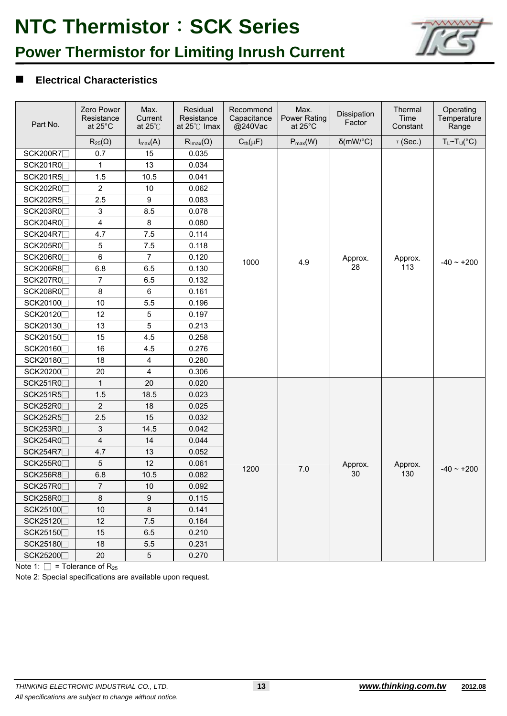

## **Power Thermistor for Limiting Inrush Current**

### **Electrical Characteristics**

| Part No.        | Zero Power<br>Resistance<br>at 25°C | Max.<br>Current<br>at $25^{\circ}$ C | Residual<br>Resistance<br>at 25°C Imax | Recommend<br>Capacitance<br>@240Vac | Max.<br><b>Power Rating</b><br>at $25^{\circ}$ C | Dissipation<br>Factor | Thermal<br>Time<br>Constant | Operating<br>Temperature<br>Range |
|-----------------|-------------------------------------|--------------------------------------|----------------------------------------|-------------------------------------|--------------------------------------------------|-----------------------|-----------------------------|-----------------------------------|
|                 | $R_{25}(\Omega)$                    | $I_{max}(A)$                         | $R_{\text{Imax}}(\Omega)$              | $C_{\text{th}}(\mu F)$              | $P_{max}(W)$                                     | $\delta$ (mW/°C)      | $\tau$ (Sec.)               | $T_L \sim T_U({}^{\circ}C)$       |
| SCK200R7        | 0.7                                 | 15                                   | 0.035                                  |                                     |                                                  |                       |                             |                                   |
| SCK201R0        | $\mathbf{1}$                        | 13                                   | 0.034                                  |                                     |                                                  |                       |                             |                                   |
| SCK201R5        | 1.5                                 | 10.5                                 | 0.041                                  |                                     |                                                  |                       |                             |                                   |
| SCK202R0        | $\overline{2}$                      | 10                                   | 0.062                                  |                                     |                                                  |                       |                             |                                   |
| SCK202R5        | 2.5                                 | 9                                    | 0.083                                  |                                     |                                                  |                       |                             |                                   |
| SCK203R0        | 3                                   | 8.5                                  | 0.078                                  |                                     |                                                  |                       |                             |                                   |
| SCK204R0        | 4                                   | 8                                    | 0.080                                  |                                     |                                                  |                       |                             |                                   |
| SCK204R7        | 4.7                                 | 7.5                                  | 0.114                                  |                                     |                                                  |                       |                             |                                   |
| SCK205R0        | 5                                   | 7.5                                  | 0.118                                  |                                     |                                                  |                       |                             |                                   |
| SCK206R0        | 6                                   | $\overline{7}$                       | 0.120                                  | 1000                                | 4.9                                              | Approx.               | Approx.                     | $-40 - +200$                      |
| SCK206R8        | 6.8                                 | 6.5                                  | 0.130                                  |                                     |                                                  | 28                    | 113                         |                                   |
| SCK207R0        | $\overline{7}$                      | 6.5                                  | 0.132                                  |                                     |                                                  |                       |                             |                                   |
| SCK208R0        | 8                                   | 6                                    | 0.161                                  |                                     |                                                  |                       |                             |                                   |
| SCK20100        | 10                                  | 5.5                                  | 0.196                                  |                                     |                                                  |                       |                             |                                   |
| SCK20120        | 12                                  | 5                                    | 0.197                                  |                                     |                                                  |                       |                             |                                   |
| SCK20130        | 13                                  | 5                                    | 0.213                                  |                                     |                                                  |                       |                             |                                   |
| SCK20150        | 15                                  | 4.5                                  | 0.258                                  |                                     |                                                  |                       |                             |                                   |
| SCK20160        | 16                                  | 4.5                                  | 0.276                                  |                                     |                                                  |                       |                             |                                   |
| SCK20180        | 18                                  | 4                                    | 0.280                                  |                                     |                                                  |                       |                             |                                   |
| SCK20200        | 20                                  | 4                                    | 0.306                                  |                                     |                                                  |                       |                             |                                   |
| SCK251R0        | 1                                   | 20                                   | 0.020                                  |                                     |                                                  |                       |                             |                                   |
| SCK251R5        | 1.5                                 | 18.5                                 | 0.023                                  |                                     |                                                  |                       |                             |                                   |
| <b>SCK252R0</b> | $\overline{c}$                      | 18                                   | 0.025                                  |                                     |                                                  |                       |                             |                                   |
| SCK252R5        | 2.5                                 | 15                                   | 0.032                                  |                                     |                                                  |                       |                             |                                   |
| SCK253R0        | 3                                   | 14.5                                 | 0.042                                  |                                     |                                                  |                       |                             |                                   |
| SCK254R0        | 4                                   | 14                                   | 0.044                                  |                                     |                                                  |                       |                             |                                   |
| SCK254R7        | 4.7                                 | 13                                   | 0.052                                  |                                     |                                                  |                       |                             |                                   |
| SCK255R0        | 5                                   | 12                                   | 0.061                                  | 1200                                | 7.0                                              | Approx.               | Approx.                     | $-40 - +200$                      |
| SCK256R8□       | 6.8                                 | 10.5                                 | 0.082                                  |                                     |                                                  | 30                    | 130                         |                                   |
| SCK257R0        | 7                                   | 10                                   | 0.092                                  |                                     |                                                  |                       |                             |                                   |
| SCK258R0        | 8                                   | 9                                    | 0.115                                  |                                     |                                                  |                       |                             |                                   |
| SCK25100        | $10$                                | 8                                    | 0.141                                  |                                     |                                                  |                       |                             |                                   |
| SCK25120□       | 12                                  | 7.5                                  | 0.164                                  |                                     |                                                  |                       |                             |                                   |
| SCK25150□       | 15                                  | 6.5                                  | 0.210                                  |                                     |                                                  |                       |                             |                                   |
| SCK25180□       | 18                                  | 5.5                                  | 0.231                                  |                                     |                                                  |                       |                             |                                   |
| SCK25200        | 20                                  | 5                                    | 0.270                                  |                                     |                                                  |                       |                             |                                   |

Note 1:  $\Box$  = Tolerance of R<sub>25</sub>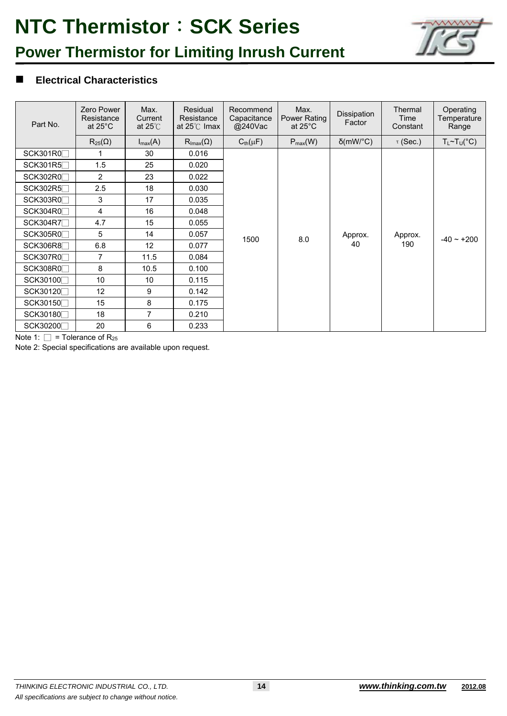

## **Power Thermistor for Limiting Inrush Current**

### **Electrical Characteristics**

| Part No.        | Zero Power<br>Resistance<br>at $25^{\circ}$ C | Max.<br>Current<br>at $25^\circ$ | Residual<br>Resistance<br>at $25^{\circ}$ C Imax | Recommend<br>Capacitance<br>@240Vac | Max.<br>Power Rating<br>at $25^{\circ}$ C | Dissipation<br>Factor | Thermal<br>Time<br>Constant | Operating<br>Temperature<br>Range |
|-----------------|-----------------------------------------------|----------------------------------|--------------------------------------------------|-------------------------------------|-------------------------------------------|-----------------------|-----------------------------|-----------------------------------|
|                 | $R_{25}(\Omega)$                              | $I_{\text{max}}(A)$              | $\mathsf{R}_{\mathsf{Imax}}(\Omega)$             | $C_{\text{th}}(\mu F)$              | $P_{max}(W)$                              | $\delta$ (mW/°C)      | $\tau$ (Sec.)               | $T_L \sim T_U({}^{\circ}C)$       |
| SCK301R0        |                                               | 30                               | 0.016                                            |                                     |                                           |                       |                             |                                   |
| SCK301R5        | 1.5                                           | 25                               | 0.020                                            |                                     |                                           |                       |                             |                                   |
| SCK302R0        | $\overline{2}$                                | 23                               | 0.022                                            |                                     |                                           |                       |                             |                                   |
| SCK302R5        | 2.5                                           | 18                               | 0.030                                            |                                     |                                           |                       |                             |                                   |
| SCK303RO        | 3                                             | 17                               | 0.035                                            |                                     |                                           |                       |                             |                                   |
| SCK304R0        | $\overline{4}$                                | 16                               | 0.048                                            |                                     |                                           |                       |                             | $-40 - +200$                      |
| SCK304R7        | 4.7                                           | 15                               | 0.055                                            |                                     |                                           |                       |                             |                                   |
| <b>SCK305R0</b> | 5                                             | 14                               | 0.057                                            | 1500                                | 8.0                                       | Approx.<br>40         | Approx.<br>190              |                                   |
| <b>SCK306R8</b> | 6.8                                           | 12 <sup>°</sup>                  | 0.077                                            |                                     |                                           |                       |                             |                                   |
| SCK307R0        | 7                                             | 11.5                             | 0.084                                            |                                     |                                           |                       |                             |                                   |
| SCK308R0        | 8                                             | 10.5                             | 0.100                                            |                                     |                                           |                       |                             |                                   |
| SCK30100        | 10                                            | 10                               | 0.115                                            |                                     |                                           |                       |                             |                                   |
| SCK30120        | 12                                            | 9                                | 0.142                                            |                                     |                                           |                       |                             |                                   |
| SCK30150        | 15                                            | 8                                | 0.175                                            |                                     |                                           |                       |                             |                                   |
| SCK30180        | 18                                            | 7                                | 0.210                                            |                                     |                                           |                       |                             |                                   |
| SCK30200        | 20                                            | 6                                | 0.233                                            |                                     |                                           |                       |                             |                                   |

Note 1:  $\square$  = Tolerance of R<sub>25</sub>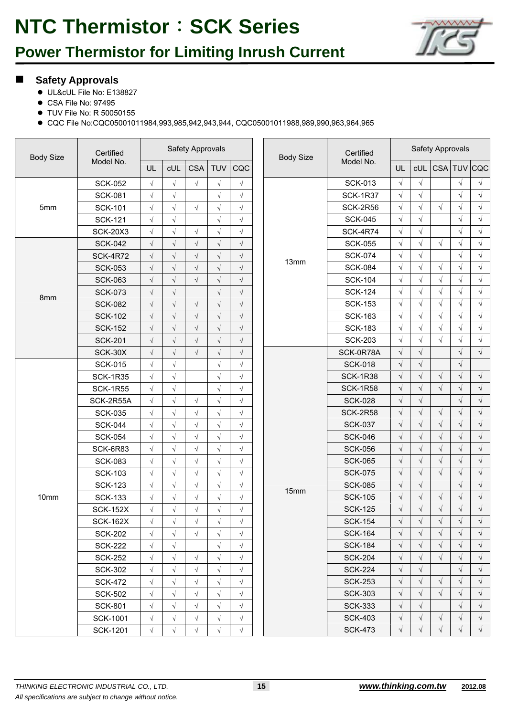## **Power Thermistor for Limiting Inrush Current**



#### **Safety Approvals**

- UL&cUL File No: E138827
- CSA File No: 97495
- TUV File No: R 50050155
- CQC File No:CQC05001011984,993,985,942,943,944, CQC05001011988,989,990,963,964,965

| <b>Body Size</b> | Certified       |            |            | Safety Approvals     |            |            | <b>Body Size</b> | Certified       | Safety Approvals |            |            |            |                 |
|------------------|-----------------|------------|------------|----------------------|------------|------------|------------------|-----------------|------------------|------------|------------|------------|-----------------|
|                  | Model No.       | UL         | cUL        | <b>CSA</b>           | <b>TUV</b> | CQC        |                  | Model No.       | UL               |            |            |            | cUL CSA TUV CQC |
|                  | <b>SCK-052</b>  | $\sqrt{}$  | $\sqrt{}$  | $\sqrt{}$            | $\sqrt{}$  | $\sqrt{}$  |                  | <b>SCK-013</b>  | $\sqrt{ }$       | $\sqrt{}$  |            | $\sqrt{}$  | $\sqrt{}$       |
|                  | <b>SCK-081</b>  | $\sqrt{}$  | $\sqrt{}$  |                      | $\sqrt{ }$ | $\sqrt{}$  |                  | <b>SCK-1R37</b> | $\sqrt{}$        | $\sqrt{ }$ |            | $\sqrt{}$  | $\sqrt{}$       |
| 5mm              | <b>SCK-101</b>  | $\sqrt{}$  | $\sqrt{}$  | $\sqrt{}$            | $\sqrt{}$  | $\sqrt{}$  |                  | <b>SCK-2R56</b> | $\sqrt{ }$       | $\sqrt{ }$ | $\sqrt{}$  | $\sqrt{}$  | $\sqrt{}$       |
|                  | <b>SCK-121</b>  | $\sqrt{}$  | $\sqrt{}$  |                      | $\sqrt{}$  | $\sqrt{}$  |                  | <b>SCK-045</b>  | $\sqrt{}$        | $\sqrt{ }$ |            | $\sqrt{}$  | $\sqrt{}$       |
|                  | <b>SCK-20X3</b> | $\sqrt{ }$ | $\sqrt{}$  | $\sqrt{}$            | $\sqrt{}$  | $\sqrt{}$  |                  | <b>SCK-4R74</b> | $\sqrt{}$        | $\sqrt{}$  |            | $\sqrt{}$  | $\sqrt{}$       |
|                  | <b>SCK-042</b>  | $\sqrt{}$  | $\sqrt{}$  | $\sqrt{}$            | $\sqrt{}$  | $\sqrt{}$  |                  | <b>SCK-055</b>  | $\sqrt{ }$       | $\sqrt{ }$ | $\sqrt{}$  | $\sqrt{}$  | $\sqrt{}$       |
|                  | <b>SCK-4R72</b> | $\sqrt{}$  | $\sqrt{}$  | $\sqrt{}$            | $\sqrt{ }$ | $\sqrt{}$  | 13mm             | <b>SCK-074</b>  | $\sqrt{}$        | $\sqrt{}$  |            | $\sqrt{}$  | $\sqrt{}$       |
|                  | <b>SCK-053</b>  | $\sqrt{}$  | $\sqrt{ }$ | $\sqrt{}$            | $\sqrt{}$  | $\sqrt{}$  |                  | <b>SCK-084</b>  | $\sqrt{}$        | $\sqrt{ }$ | $\sqrt{}$  | $\sqrt{}$  | $\sqrt{}$       |
|                  | <b>SCK-063</b>  | $\sqrt{}$  | $\sqrt{}$  | $\sqrt{}$            | $\sqrt{}$  | $\sqrt{}$  |                  | <b>SCK-104</b>  | $\sqrt{ }$       | $\sqrt{ }$ | $\sqrt{}$  | $\sqrt{}$  | $\sqrt{}$       |
| 8mm              | <b>SCK-073</b>  | $\sqrt{ }$ | $\sqrt{}$  |                      | $\sqrt{}$  | $\sqrt{}$  |                  | <b>SCK-124</b>  | $\sqrt{ }$       | $\sqrt{ }$ | $\sqrt{}$  | $\sqrt{}$  | $\sqrt{}$       |
|                  | <b>SCK-082</b>  | $\sqrt{}$  | $\sqrt{ }$ | $\sqrt{}$            | $\sqrt{}$  | $\sqrt{ }$ |                  | <b>SCK-153</b>  | $\sqrt{ }$       | $\sqrt{ }$ | $\sqrt{}$  | $\sqrt{}$  | $\sqrt{}$       |
|                  | <b>SCK-102</b>  | $\sqrt{}$  | $\sqrt{}$  | $\sqrt{}$            | $\sqrt{}$  | $\sqrt{}$  |                  | <b>SCK-163</b>  | $\sqrt{}$        | $\sqrt{ }$ | $\sqrt{}$  | $\sqrt{}$  | $\sqrt{}$       |
|                  | <b>SCK-152</b>  | $\sqrt{}$  | $\sqrt{}$  | $\sqrt{}$            | $\sqrt{ }$ | $\sqrt{}$  |                  | <b>SCK-183</b>  | $\sqrt{ }$       | $\sqrt{ }$ | $\sqrt{}$  | $\sqrt{}$  | $\sqrt{ }$      |
|                  | <b>SCK-201</b>  | $\sqrt{}$  | $\sqrt{}$  | $\sqrt{\phantom{a}}$ | $\sqrt{}$  | $\sqrt{}$  |                  | <b>SCK-203</b>  | $\sqrt{ }$       | $\sqrt{}$  | $\sqrt{}$  | $\sqrt{}$  | $\sqrt{}$       |
|                  | SCK-30X         | $\sqrt{ }$ | $\sqrt{}$  | $\sqrt{}$            | $\sqrt{}$  | $\sqrt{}$  |                  | SCK-0R78A       | $\sqrt{}$        | $\sqrt{}$  |            | $\sqrt{}$  | $\sqrt{}$       |
|                  | <b>SCK-015</b>  | $\sqrt{ }$ | $\sqrt{}$  |                      | $\sqrt{ }$ | $\sqrt{}$  |                  | <b>SCK-018</b>  | $\sqrt{}$        | $\sqrt{}$  |            | $\sqrt{ }$ |                 |
|                  | <b>SCK-1R35</b> | $\sqrt{ }$ | $\sqrt{}$  |                      | $\sqrt{ }$ | $\sqrt{}$  |                  | <b>SCK-1R38</b> | $\sqrt{}$        | $\sqrt{}$  | $\sqrt{}$  | $\sqrt{ }$ | $\sqrt{}$       |
|                  | <b>SCK-1R55</b> | $\sqrt{ }$ | $\sqrt{}$  |                      | $\sqrt{}$  | $\sqrt{}$  |                  | <b>SCK-1R58</b> | $\sqrt{}$        | $\sqrt{}$  | $\sqrt{}$  | $\sqrt{}$  | $\sqrt{}$       |
|                  | SCK-2R55A       | $\sqrt{2}$ | $\sqrt{}$  | $\sqrt{ }$           | $\sqrt{}$  | $\sqrt{}$  |                  | <b>SCK-028</b>  | $\sqrt{}$        | $\sqrt{}$  |            | $\sqrt{}$  | $\sqrt{}$       |
|                  | <b>SCK-035</b>  | $\sqrt{}$  | $\sqrt{}$  | $\sqrt{}$            | $\sqrt{}$  | $\sqrt{}$  |                  | <b>SCK-2R58</b> | $\sqrt{}$        | $\sqrt{}$  | $\sqrt{}$  | $\sqrt{}$  | $\sqrt{}$       |
|                  | <b>SCK-044</b>  | $\sqrt{}$  | $\sqrt{}$  | $\sqrt{}$            | $\sqrt{}$  | $\sqrt{2}$ |                  | <b>SCK-037</b>  | $\sqrt{ }$       | $\sqrt{ }$ | $\sqrt{}$  | $\sqrt{}$  | $\sqrt{}$       |
|                  | <b>SCK-054</b>  | $\sqrt{}$  | $\sqrt{}$  | $\sqrt{}$            | $\sqrt{ }$ | $\sqrt{ }$ |                  | <b>SCK-046</b>  | $\sqrt{}$        | $\sqrt{}$  | $\sqrt{}$  | $\sqrt{}$  | $\sqrt{}$       |
|                  | SCK-6R83        | $\sqrt{}$  | $\sqrt{}$  | $\sqrt{}$            | $\sqrt{}$  | $\sqrt{}$  |                  | <b>SCK-056</b>  | $\sqrt{}$        | $\sqrt{ }$ | $\sqrt{}$  | $\sqrt{}$  | $\sqrt{}$       |
|                  | <b>SCK-083</b>  | $\sqrt{}$  | $\sqrt{}$  | $\sqrt{}$            | $\sqrt{}$  | $\sqrt{}$  |                  | <b>SCK-065</b>  | $\sqrt{}$        | $\sqrt{}$  | $\sqrt{}$  | $\sqrt{}$  | $\sqrt{}$       |
|                  | <b>SCK-103</b>  | $\sqrt{}$  | $\sqrt{}$  | $\sqrt{}$            | $\sqrt{}$  | $\sqrt{ }$ |                  | <b>SCK-075</b>  | $\sqrt{ }$       | $\sqrt{}$  | $\sqrt{}$  | $\sqrt{ }$ | $\sqrt{}$       |
|                  | <b>SCK-123</b>  | $\sqrt{ }$ | $\sqrt{}$  | $\sqrt{}$            | $\sqrt{}$  | $\sqrt{}$  | 15mm             | <b>SCK-085</b>  | $\sqrt{}$        | $\sqrt{}$  |            | $\sqrt{}$  | $\sqrt{}$       |
| 10mm             | <b>SCK-133</b>  | $\sqrt{ }$ | $\sqrt{}$  | $\sqrt{}$            | $\sqrt{ }$ | $\sqrt{}$  |                  | <b>SCK-105</b>  | $\sqrt{}$        | $\sqrt{}$  | $\sqrt{}$  | $\sqrt{}$  | $\sqrt{}$       |
|                  | <b>SCK-152X</b> | $\sqrt{ }$ | $\sqrt{}$  | $\sqrt{}$            | $\sqrt{}$  | $\sqrt{}$  |                  | <b>SCK-125</b>  | $\sqrt{}$        | $\sqrt{ }$ | $\sqrt{}$  | $\sqrt{}$  | $\sqrt{}$       |
|                  | <b>SCK-162X</b> | $\sqrt{ }$ | $\sqrt{ }$ | $\sqrt{ }$           | $\sqrt{ }$ | $\sqrt{}$  |                  | <b>SCK-154</b>  | $\sqrt{}$        | $\sqrt{}$  | $\sqrt{ }$ | $\sqrt{ }$ | $\sqrt{}$       |
|                  | <b>SCK-202</b>  | $\sqrt{ }$ | $\sqrt{}$  | $\sqrt{ }$           | $\sqrt{}$  | $\sqrt{ }$ |                  | <b>SCK-164</b>  | $\sqrt{ }$       | $\sqrt{ }$ | $\sqrt{}$  | $\sqrt{}$  | $\sqrt{ }$      |
|                  | <b>SCK-222</b>  | $\sqrt{ }$ | $\sqrt{}$  |                      | $\sqrt{}$  | $\sqrt{}$  |                  | <b>SCK-184</b>  | $\sqrt{}$        | V          | √          | $\sqrt{}$  | $\sqrt{}$       |
|                  | <b>SCK-252</b>  | $\sqrt{}$  | $\sqrt{ }$ | $\sqrt{}$            | $\sqrt{ }$ | $\sqrt{}$  |                  | <b>SCK-204</b>  | $\sqrt{}$        | $\sqrt{}$  | $\sqrt{ }$ | $\sqrt{ }$ | $\sqrt{ }$      |
|                  | <b>SCK-302</b>  | $\sqrt{}$  | $\sqrt{}$  | $\sqrt{}$            | $\sqrt{}$  | $\sqrt{}$  |                  | <b>SCK-224</b>  | $\sqrt{}$        | $\sqrt{}$  |            | $\sqrt{}$  | $\sqrt{ }$      |
|                  | <b>SCK-472</b>  | $\sqrt{}$  | $\sqrt{}$  | $\sqrt{}$            | $\sqrt{}$  | √          |                  | <b>SCK-253</b>  | $\sqrt{}$        | $\sqrt{ }$ | V          | $\sqrt{}$  | $\sqrt{ }$      |
|                  | <b>SCK-502</b>  | $\sqrt{ }$ | $\sqrt{}$  | $\sqrt{}$            | $\sqrt{}$  | $\sqrt{}$  |                  | <b>SCK-303</b>  | $\sqrt{}$        | V          | $\sqrt{}$  | $\sqrt{}$  | $\sqrt{}$       |
|                  | <b>SCK-801</b>  | $\sqrt{}$  | $\sqrt{}$  | $\sqrt{}$            | $\sqrt{ }$ | $\sqrt{}$  |                  | <b>SCK-333</b>  | $\sqrt{}$        | $\sqrt{}$  |            | $\sqrt{}$  | $\sqrt{}$       |
|                  | <b>SCK-1001</b> | $\sqrt{ }$ | $\sqrt{}$  | $\sqrt{}$            | $\sqrt{ }$ | V          |                  | <b>SCK-403</b>  | $\sqrt{}$        | $\sqrt{}$  | V          | $\sqrt{}$  | $\sqrt{ }$      |
|                  | <b>SCK-1201</b> | $\sqrt{}$  | $\sqrt{}$  | $\sqrt{}$            | $\sqrt{}$  | $\sqrt{}$  |                  | <b>SCK-473</b>  | $\sqrt{}$        | $\sqrt{}$  | $\sqrt{}$  | $\sqrt{}$  | $\sqrt{}$       |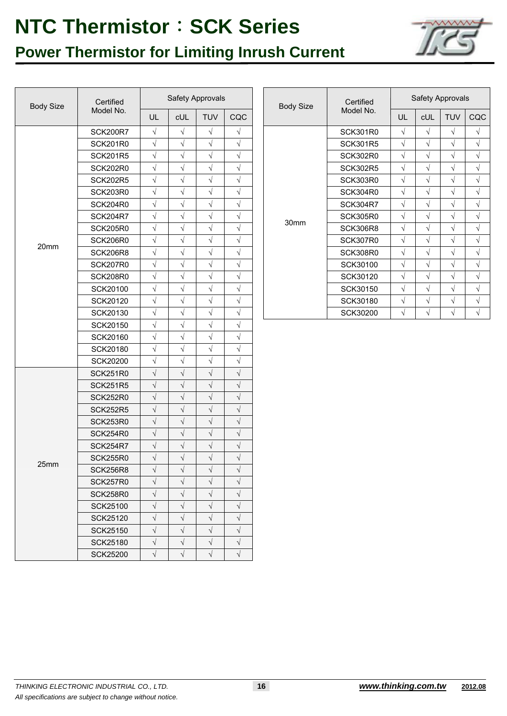## **Power Thermistor for Limiting Inrush Current**



| Certified<br><b>Body Size</b><br>Model No. |                 |            | Safety Approvals |            |           | <b>Body Size</b> | Certified       |            |
|--------------------------------------------|-----------------|------------|------------------|------------|-----------|------------------|-----------------|------------|
|                                            |                 | UL         | <b>cUL</b>       | TUV        | CQC       |                  | Model No.       | U          |
|                                            | <b>SCK200R7</b> | $\sqrt{}$  | $\sqrt{}$        | $\sqrt{}$  | V         |                  | <b>SCK301R0</b> | $\sqrt{}$  |
|                                            | <b>SCK201R0</b> | $\sqrt{}$  | $\sqrt{}$        | $\sqrt{ }$ | $\sqrt{}$ |                  | <b>SCK301R5</b> | $\sqrt{}$  |
|                                            | <b>SCK201R5</b> | $\sqrt{}$  | $\sqrt{}$        | $\sqrt{}$  | V         |                  | <b>SCK302R0</b> | $\sqrt{ }$ |
|                                            | <b>SCK202R0</b> | $\sqrt{}$  | $\sqrt{}$        | $\sqrt{}$  | $\sqrt{}$ |                  | <b>SCK302R5</b> | $\sqrt{}$  |
|                                            | <b>SCK202R5</b> | $\sqrt{}$  | $\sqrt{}$        | $\sqrt{}$  | $\sqrt{}$ |                  | <b>SCK303R0</b> | $\sqrt{}$  |
|                                            | <b>SCK203R0</b> | $\sqrt{}$  | $\sqrt{}$        | $\sqrt{}$  | $\sqrt{}$ |                  | <b>SCK304R0</b> | $\sqrt{}$  |
|                                            | <b>SCK204R0</b> | $\sqrt{}$  | $\sqrt{}$        | $\sqrt{}$  | $\sqrt{}$ |                  | <b>SCK304R7</b> | $\sqrt{}$  |
|                                            | <b>SCK204R7</b> | $\sqrt{}$  | $\sqrt{}$        | $\sqrt{}$  | $\sqrt{}$ | 30mm             | <b>SCK305R0</b> | V          |
|                                            | <b>SCK205R0</b> | $\sqrt{}$  | $\sqrt{}$        | $\sqrt{}$  | $\sqrt{}$ |                  | <b>SCK306R8</b> | $\sqrt{}$  |
| 20mm                                       | <b>SCK206R0</b> | $\sqrt{}$  | $\sqrt{}$        | $\sqrt{}$  | $\sqrt{}$ |                  | <b>SCK307R0</b> | $\sqrt{}$  |
|                                            | <b>SCK206R8</b> | $\sqrt{}$  | $\sqrt{}$        | $\sqrt{}$  | $\sqrt{}$ |                  | <b>SCK308R0</b> | $\sqrt{}$  |
|                                            | <b>SCK207R0</b> | $\sqrt{ }$ | $\sqrt{}$        | $\sqrt{}$  | $\sqrt{}$ |                  | SCK30100        | $\sqrt{ }$ |
|                                            | <b>SCK208R0</b> | $\sqrt{}$  | $\sqrt{}$        | $\sqrt{ }$ | $\sqrt{}$ |                  | SCK30120        | $\sqrt{}$  |
|                                            | SCK20100        | $\sqrt{}$  | $\sqrt{}$        | $\sqrt{}$  | V         |                  | SCK30150        | $\sqrt{ }$ |
|                                            | SCK20120        | $\sqrt{}$  | $\sqrt{}$        | $\sqrt{}$  | $\sqrt{}$ |                  | SCK30180        | $\sqrt{}$  |
|                                            | SCK20130        | $\sqrt{}$  | $\sqrt{}$        | $\sqrt{}$  | $\sqrt{}$ |                  | SCK30200        | $\sqrt{}$  |
|                                            | SCK20150        | $\sqrt{}$  | $\sqrt{}$        | $\sqrt{}$  | $\sqrt{}$ |                  |                 |            |
|                                            | SCK20160        | $\sqrt{}$  | $\sqrt{}$        | $\sqrt{}$  | $\sqrt{}$ |                  |                 |            |
|                                            | SCK20180        | $\sqrt{}$  | $\sqrt{}$        | $\sqrt{}$  | $\sqrt{}$ |                  |                 |            |
|                                            | <b>SCK20200</b> | $\sqrt{}$  | $\sqrt{}$        | $\sqrt{}$  | $\sqrt{}$ |                  |                 |            |
|                                            | <b>SCK251R0</b> | $\sqrt{}$  | $\sqrt{}$        | $\sqrt{}$  | $\sqrt{}$ |                  |                 |            |
|                                            | <b>SCK251R5</b> | $\sqrt{}$  | $\sqrt{}$        | $\sqrt{}$  | $\sqrt{}$ |                  |                 |            |
|                                            | <b>SCK252R0</b> | $\sqrt{}$  | $\sqrt{}$        | $\sqrt{}$  | $\sqrt{}$ |                  |                 |            |
|                                            | <b>SCK252R5</b> | $\sqrt{}$  | $\sqrt{2}$       | $\sqrt{}$  | $\sqrt{}$ |                  |                 |            |
|                                            | <b>SCK253R0</b> | $\sqrt{}$  | $\sqrt{}$        | $\sqrt{}$  | $\sqrt{}$ |                  |                 |            |
|                                            | <b>SCK254R0</b> | $\sqrt{}$  | $\sqrt{}$        | $\sqrt{}$  | $\sqrt{}$ |                  |                 |            |
|                                            | <b>SCK254R7</b> | $\sqrt{}$  | $\sqrt{}$        | $\sqrt{}$  | $\sqrt{}$ |                  |                 |            |
|                                            | <b>SCK255R0</b> | $\sqrt{}$  | $\sqrt{}$        | $\sqrt{ }$ | $\sqrt{}$ |                  |                 |            |
| 25mm                                       | <b>SCK256R8</b> | $\sqrt{}$  | $\sqrt{}$        | $\sqrt{}$  | $\sqrt{}$ |                  |                 |            |
|                                            | SCK257R0        | $\sqrt{}$  | $\sqrt{}$        | $\sqrt{}$  | $\sqrt{}$ |                  |                 |            |
|                                            | <b>SCK258R0</b> | $\sqrt{}$  | $\sqrt{}$        | $\sqrt{}$  | $\sqrt{}$ |                  |                 |            |
|                                            | <b>SCK25100</b> | $\sqrt{ }$ | $\sqrt{}$        | $\sqrt{}$  | $\sqrt{}$ |                  |                 |            |
|                                            | <b>SCK25120</b> | $\sqrt{}$  | $\sqrt{}$        | $\sqrt{}$  | V         |                  |                 |            |
|                                            | <b>SCK25150</b> | $\sqrt{}$  | $\sqrt{}$        | $\sqrt{}$  | $\sqrt{}$ |                  |                 |            |
|                                            | <b>SCK25180</b> | $\sqrt{}$  | $\sqrt{}$        | $\sqrt{}$  | $\sqrt{}$ |                  |                 |            |
|                                            | <b>SCK25200</b> | $\sqrt{}$  | $\sqrt{}$        | $\sqrt{}$  | $\sqrt{}$ |                  |                 |            |

| Certified       |            | Safety Approvals |            |           |  | <b>Body Size</b> | Certified<br>Model No. | Safety Approvals |            |            |            |
|-----------------|------------|------------------|------------|-----------|--|------------------|------------------------|------------------|------------|------------|------------|
| Model No.       | UL         | <b>CUL</b>       | <b>TUV</b> | CQC       |  |                  |                        | UL               | <b>CUL</b> | <b>TUV</b> | CQC        |
| <b>SCK200R7</b> | $\sqrt{ }$ | V                | $\sqrt{}$  | $\sqrt{}$ |  |                  | <b>SCK301R0</b>        | V                | $\sqrt{}$  | V          | $\sqrt{ }$ |
| SCK201R0        | $\sqrt{ }$ | $\sqrt{}$        | $\sqrt{}$  | $\sqrt{}$ |  |                  | <b>SCK301R5</b>        | V                | $\sqrt{}$  | V          | $\sqrt{ }$ |
| SCK201R5        | $\sqrt{ }$ | V                | $\sqrt{}$  | $\sqrt{}$ |  |                  | <b>SCK302R0</b>        | V                | $\sqrt{}$  | V          | $\sqrt{ }$ |
| SCK202R0        | $\sqrt{ }$ | N                | V          | $\sqrt{}$ |  |                  | <b>SCK302R5</b>        | V                | $\sqrt{}$  | V          | $\sqrt{ }$ |
| SCK202R5        | $\sqrt{ }$ | V                | $\sqrt{ }$ | $\sqrt{}$ |  |                  | <b>SCK303R0</b>        | V                | $\sqrt{ }$ | V          | $\sqrt{ }$ |
| SCK203R0        | $\sqrt{}$  | $\sqrt{}$        | $\sqrt{}$  | $\sqrt{}$ |  |                  | <b>SCK304R0</b>        | V                | $\sqrt{ }$ | V          | $\sqrt{ }$ |
| SCK204R0        | $\sqrt{}$  | V                | $\sqrt{}$  | $\sqrt{}$ |  |                  | <b>SCK304R7</b>        | V                | $\sqrt{}$  | V          | $\sqrt{ }$ |
| <b>SCK204R7</b> | $\sqrt{ }$ | V                | $\sqrt{}$  | V         |  |                  | <b>SCK305R0</b>        | V                | $\sqrt{}$  | V          | $\sqrt{ }$ |
| SCK205R0        | $\sqrt{ }$ | $\sqrt{ }$       | $\sqrt{}$  | $\sqrt{}$ |  | 30mm             | SCK306R8               | V                | $\sqrt{}$  | V          | $\sqrt{ }$ |
| SCK206R0        | $\sqrt{ }$ | V                | $\sqrt{}$  | $\sqrt{}$ |  |                  | <b>SCK307R0</b>        | V                | $\sqrt{ }$ | V          | $\sqrt{ }$ |
| SCK206R8        | $\sqrt{ }$ | $\sqrt{}$        | $\sqrt{}$  | $\sqrt{}$ |  |                  | <b>SCK308R0</b>        | V                | $\sqrt{}$  | V          | $\sqrt{ }$ |
| SCK207R0        | $\sqrt{ }$ | V                | $\sqrt{}$  | $\sqrt{}$ |  |                  | SCK30100               | V                | $\sqrt{ }$ | V          | $\sqrt{ }$ |
| SCK208R0        | $\sqrt{ }$ | N                | $\sqrt{ }$ | $\sqrt{}$ |  |                  | SCK30120               | V                | $\sqrt{ }$ | V          | $\sqrt{ }$ |
| SCK20100        | $\sqrt{ }$ | V                | $\sqrt{}$  | $\sqrt{}$ |  |                  | SCK30150               | V                | $\sqrt{ }$ | V          | $\sqrt{ }$ |
| SCK20120        | $\sqrt{}$  | V                | $\sqrt{ }$ | V         |  |                  | SCK30180               | V                | $\sqrt{}$  | V          | $\sqrt{ }$ |
| SCK20130        | $\sqrt{}$  | V                | $\sqrt{ }$ | $\sqrt{}$ |  |                  | SCK30200               | V                | $\sqrt{ }$ | V          | $\sqrt{ }$ |
|                 |            |                  |            |           |  |                  |                        |                  |            |            |            |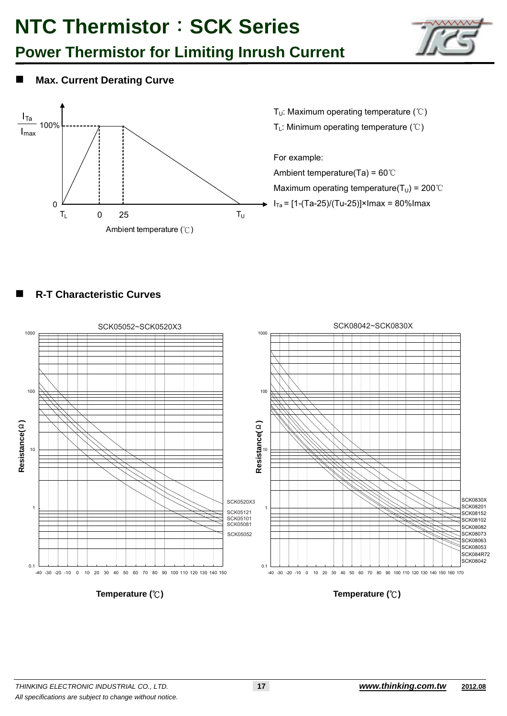## **Power Thermistor for Limiting Inrush Current**



### **Max. Current Derating Curve**



T<sub>U</sub>: Maximum operating temperature (°C)

T<sub>L</sub>: Minimum operating temperature (℃)

For example:

Ambient temperature(Ta) = 60℃ Maximum operating temperature( $T_U$ ) = 200°C  $I<sub>Ta</sub> = [1-(Ta-25)/(Tu-25)] \times I<sub>Ta</sub> = 80\% I<sub>Ta</sub>$ 

### **R-T Characteristic Curves**



**Temperature (°C)** 

**Temperature (°C)**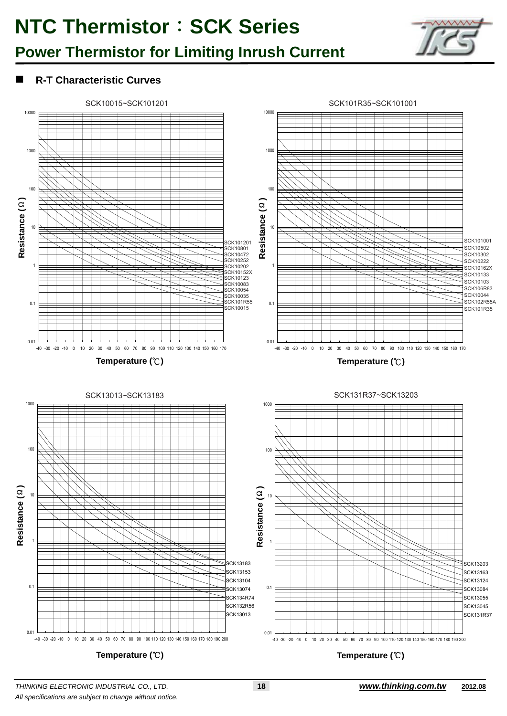## **Power Thermistor for Limiting Inrush Current**



### **R-T Characteristic Curves**



*THINKING ELECTRONIC INDUSTRIAL CO., LTD.* **18** *www.thinking.com.tw* **2012.08** *All specifications are subject to change without notice.*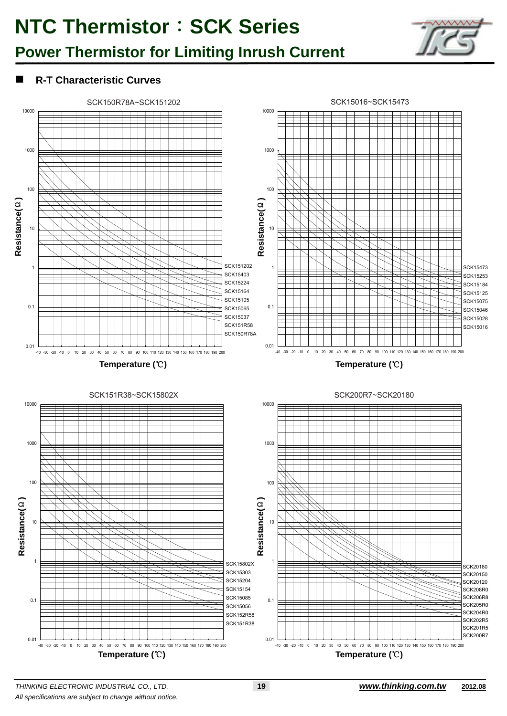## **Power Thermistor for Limiting Inrush Current**



### **R-T Characteristic Curves**

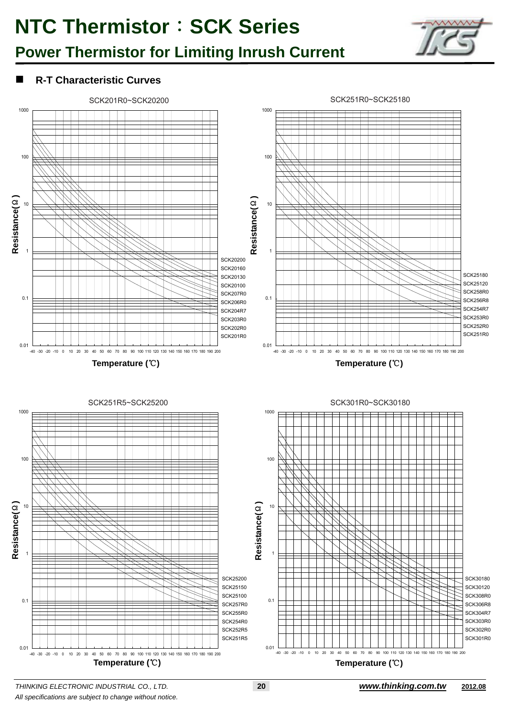## **Power Thermistor for Limiting Inrush Current**



### **R-T Characteristic Curves**



*THINKING ELECTRONIC INDUSTRIAL CO., LTD.* **20** *www.thinking.com.tw* **2012.08** *All specifications are subject to change without notice.*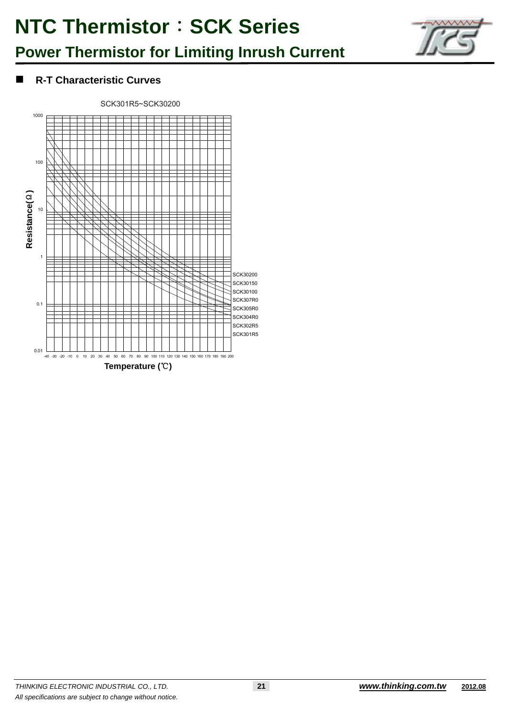## **Power Thermistor for Limiting Inrush Current**



### **R-T Characteristic Curves**

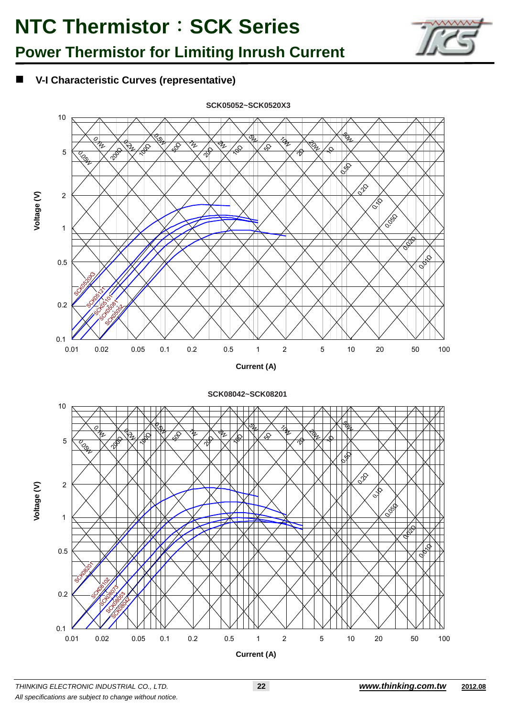



### **V-I Characteristic Curves (representative)**



*THINKING ELECTRONIC INDUSTRIAL CO., LTD.* **22** *www.thinking.com.tw* **2012.08** *All specifications are subject to change without notice.*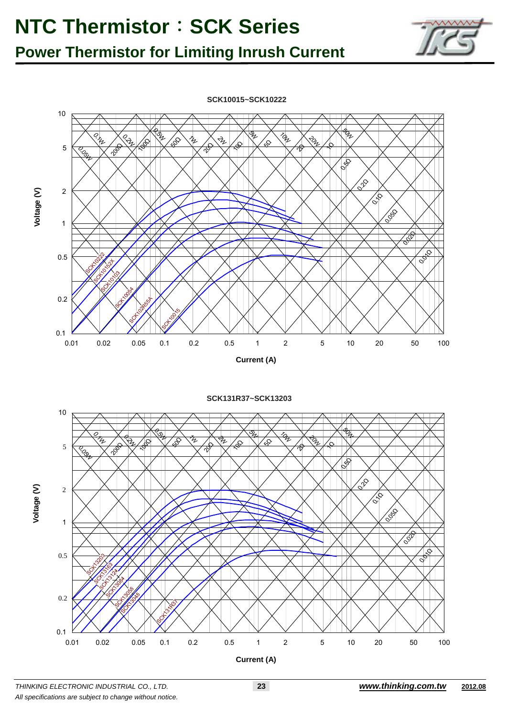### **Power Thermistor for Limiting Inrush Current**



**SCK131R37~SCK13203**



**Voltage (V)** 

Voltage (V)

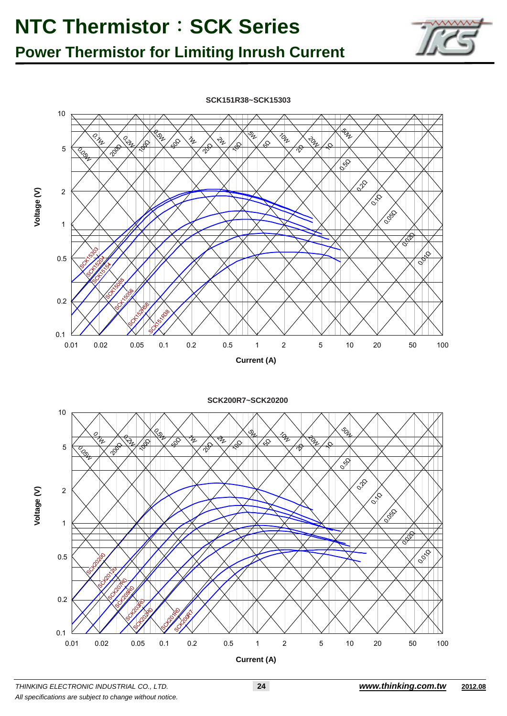**Power Thermistor for Limiting Inrush Current** 



**SCK151R38~SCK15303**



*THINKING ELECTRONIC INDUSTRIAL CO., LTD.* **24** *www.thinking.com.tw* **2012.08** *All specifications are subject to change without notice.*

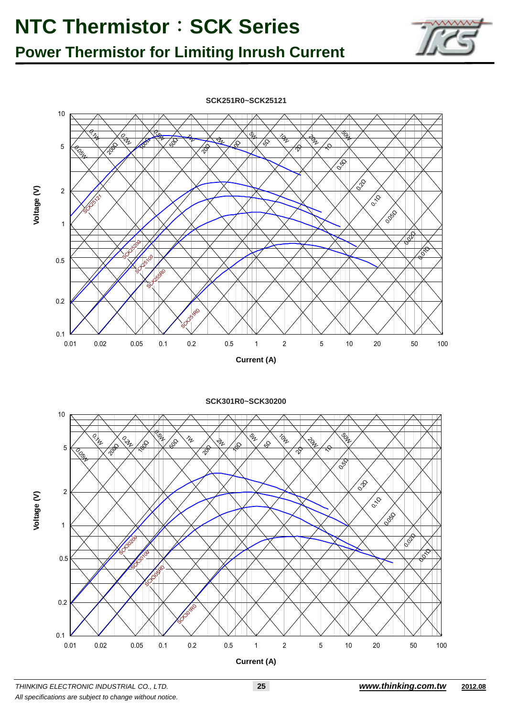### **Power Thermistor for Limiting Inrush Current**



**SCK251R0~SCK25121**

**SCK301R0~SCK30200**



*THINKING ELECTRONIC INDUSTRIAL CO., LTD.* **25** *www.thinking.com.tw* **2012.08** *All specifications are subject to change without notice.*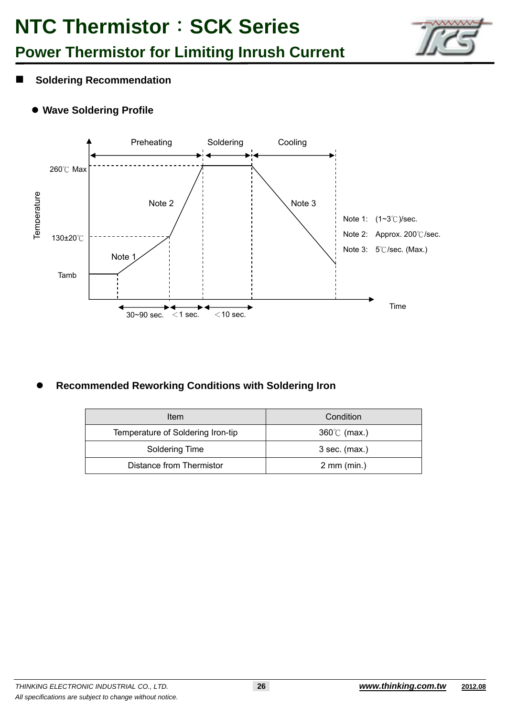

## **Power Thermistor for Limiting Inrush Current**

- $\blacksquare$  Soldering Recommendation
	- **Wave Soldering Profile**



### **Recommended Reworking Conditions with Soldering Iron**

| Item                              | Condition             |
|-----------------------------------|-----------------------|
| Temperature of Soldering Iron-tip | $360^{\circ}$ (max.)  |
| Soldering Time                    | $3$ sec. (max.)       |
| Distance from Thermistor          | $2 \text{ mm (min.)}$ |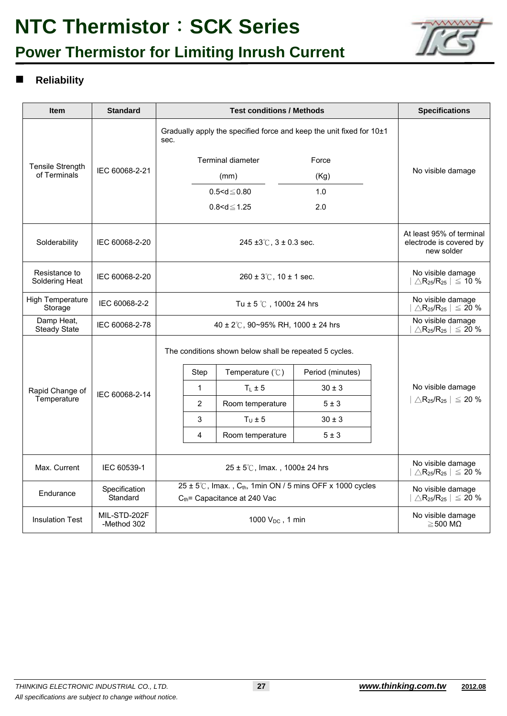## **Power Thermistor for Limiting Inrush Current**



### **Reliability**

| <b>Item</b>                             | <b>Standard</b>             |                                                        |                                                                                                                             | <b>Specifications</b>                                                           |                                            |  |                                                                                     |
|-----------------------------------------|-----------------------------|--------------------------------------------------------|-----------------------------------------------------------------------------------------------------------------------------|---------------------------------------------------------------------------------|--------------------------------------------|--|-------------------------------------------------------------------------------------|
|                                         | IEC 60068-2-21              | sec.                                                   |                                                                                                                             | Gradually apply the specified force and keep the unit fixed for 10±1            |                                            |  |                                                                                     |
|                                         |                             |                                                        |                                                                                                                             | <b>Terminal diameter</b>                                                        | Force                                      |  |                                                                                     |
| <b>Tensile Strength</b><br>of Terminals |                             |                                                        |                                                                                                                             | (mm)                                                                            | (Kg)                                       |  | No visible damage                                                                   |
|                                         |                             |                                                        |                                                                                                                             | $0.5 < d \le 0.80$                                                              | 1.0                                        |  |                                                                                     |
|                                         |                             |                                                        | $0.8 < d \le 1.25$<br>2.0                                                                                                   |                                                                                 |                                            |  |                                                                                     |
| Solderability                           | IEC 60068-2-20              |                                                        |                                                                                                                             | 245 ±3 $\degree$ C, 3 ± 0.3 sec.                                                |                                            |  | At least 95% of terminal<br>electrode is covered by<br>new solder                   |
| Resistance to<br>Soldering Heat         | IEC 60068-2-20              |                                                        |                                                                                                                             | $260 \pm 3^{\circ}$ C, 10 $\pm$ 1 sec.                                          |                                            |  | No visible damage<br>$\triangle$ R <sub>25</sub> /R <sub>25</sub> $\vert \leq 10$ % |
| <b>High Temperature</b><br>Storage      | IEC 60068-2-2               |                                                        |                                                                                                                             | Tu $\pm$ 5 °C, 1000 $\pm$ 24 hrs                                                |                                            |  | No visible damage<br>$\triangle$ R <sub>25</sub> /R <sub>25</sub>   $\leq$ 20 %     |
| Damp Heat,<br><b>Steady State</b>       | IEC 60068-2-78              |                                                        |                                                                                                                             | 40 ± 2°C, 90~95% RH, 1000 ± 24 hrs                                              |                                            |  | No visible damage<br>$\triangle$ R <sub>25</sub> /R <sub>25</sub> $ $ $\leq$ 20 %   |
|                                         |                             | The conditions shown below shall be repeated 5 cycles. |                                                                                                                             |                                                                                 |                                            |  |                                                                                     |
|                                         |                             |                                                        | Step                                                                                                                        | Temperature $(\mathcal{C})$                                                     | Period (minutes)                           |  |                                                                                     |
| Rapid Change of                         | IEC 60068-2-14              |                                                        | $\mathbf{1}$                                                                                                                | $T_L \pm 5$                                                                     | $30 \pm 3$                                 |  | No visible damage                                                                   |
| Temperature                             |                             |                                                        | $\overline{2}$                                                                                                              | Room temperature                                                                | $5 \pm 3$                                  |  | $ \triangle \mathsf{R}_{25}/\mathsf{R}_{25}  \leq 20\,\%$                           |
|                                         |                             |                                                        | 3                                                                                                                           | $T_{\text{II}} \pm 5$                                                           | $30 \pm 3$                                 |  |                                                                                     |
|                                         |                             |                                                        | 4                                                                                                                           | Room temperature                                                                | 5±3                                        |  |                                                                                     |
| Max. Current                            | IEC 60539-1                 |                                                        |                                                                                                                             | No visible damage<br>$\triangle$ R <sub>25</sub> /R <sub>25</sub>   $\leq$ 20 % |                                            |  |                                                                                     |
| Endurance                               | Specification<br>Standard   |                                                        | $25 \pm 5^{\circ}$ C, Imax., C <sub>th</sub> , 1min ON / 5 mins OFF x 1000 cycles<br>$C_{\text{th}}$ Capacitance at 240 Vac | No visible damage<br>$\triangle$ R <sub>25</sub> /R <sub>25</sub>   $\leq$ 20 % |                                            |  |                                                                                     |
| <b>Insulation Test</b>                  | MIL-STD-202F<br>-Method 302 |                                                        |                                                                                                                             |                                                                                 | No visible damage<br>$\geq$ 500 M $\Omega$ |  |                                                                                     |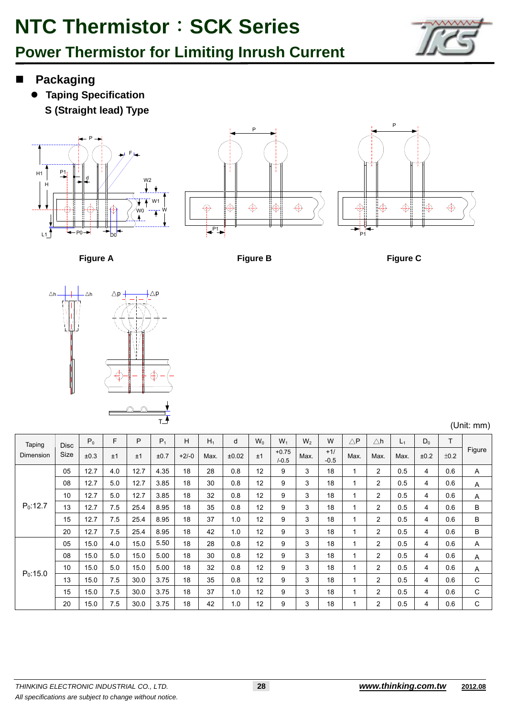



- **Packaging**
	- **Taping Specification S (Straight lead) Type**







**Figure A** Figure B Figure B Figure C



(Unit: mm)

| Taping     | <b>Disc</b> | $P_0$ | F   | P    | $P_1$ | H       | $H_1$ | d     | $W_0$ | $W_1$              | W <sub>2</sub> | W               | $\triangle P$ | $\triangle$ h  | $L_1$ | $D_0$          | T    |        |
|------------|-------------|-------|-----|------|-------|---------|-------|-------|-------|--------------------|----------------|-----------------|---------------|----------------|-------|----------------|------|--------|
| Dimension  | <b>Size</b> | ±0.3  | ±1  | ±1   | ±0.7  | $+2/-0$ | Max.  | ±0.02 | ±1    | $+0.75$<br>$/-0.5$ | Max.           | $+1/$<br>$-0.5$ | Max.          | Max.           | Max.  | ±0.2           | ±0.2 | Figure |
|            | 05          | 12.7  | 4.0 | 12.7 | 4.35  | 18      | 28    | 0.8   | 12    | 9                  | 3              | 18              | 1             | $\overline{2}$ | 0.5   | 4              | 0.6  | A      |
| $P_0:12.7$ | 08          | 12.7  | 5.0 | 12.7 | 3.85  | 18      | 30    | 0.8   | 12    | 9                  | 3              | 18              | 1             | $\overline{2}$ | 0.5   | 4              | 0.6  | Α      |
|            | 10          | 12.7  | 5.0 | 12.7 | 3.85  | 18      | 32    | 0.8   | 12    | 9                  | 3              | 18              | 1             | $\overline{2}$ | 0.5   | $\overline{4}$ | 0.6  | A      |
|            | 13          | 12.7  | 7.5 | 25.4 | 8.95  | 18      | 35    | 0.8   | 12    | 9                  | 3              | 18              |               | $\overline{2}$ | 0.5   | 4              | 0.6  | B      |
|            | 15          | 12.7  | 7.5 | 25.4 | 8.95  | 18      | 37    | 1.0   | 12    | 9                  | 3              | 18              |               | $\overline{2}$ | 0.5   | 4              | 0.6  | B      |
|            | 20          | 12.7  | 7.5 | 25.4 | 8.95  | 18      | 42    | 1.0   | 12    | 9                  | 3              | 18              |               | $\overline{2}$ | 0.5   | 4              | 0.6  | B      |
|            | 05          | 15.0  | 4.0 | 15.0 | 5.50  | 18      | 28    | 0.8   | 12    | 9                  | 3              | 18              |               | $\overline{2}$ | 0.5   | 4              | 0.6  | Α      |
| $P_0:15.0$ | 08          | 15.0  | 5.0 | 15.0 | 5.00  | 18      | 30    | 0.8   | 12    | 9                  | 3              | 18              | 1             | $\overline{2}$ | 0.5   | 4              | 0.6  | A      |
|            | 10          | 15.0  | 5.0 | 15.0 | 5.00  | 18      | 32    | 0.8   | 12    | 9                  | 3              | 18              |               | $\overline{2}$ | 0.5   | 4              | 0.6  | Α      |
|            | 13          | 15.0  | 7.5 | 30.0 | 3.75  | 18      | 35    | 0.8   | 12    | 9                  | 3              | 18              | 1             | $\overline{2}$ | 0.5   | $\overline{4}$ | 0.6  | C      |
|            | 15          | 15.0  | 7.5 | 30.0 | 3.75  | 18      | 37    | 1.0   | 12    | 9                  | 3              | 18              | 1             | $\overline{2}$ | 0.5   | $\overline{4}$ | 0.6  | C      |
|            | 20          | 15.0  | 7.5 | 30.0 | 3.75  | 18      | 42    | 1.0   | 12    | 9                  | 3              | 18              |               | 2              | 0.5   | 4              | 0.6  | C      |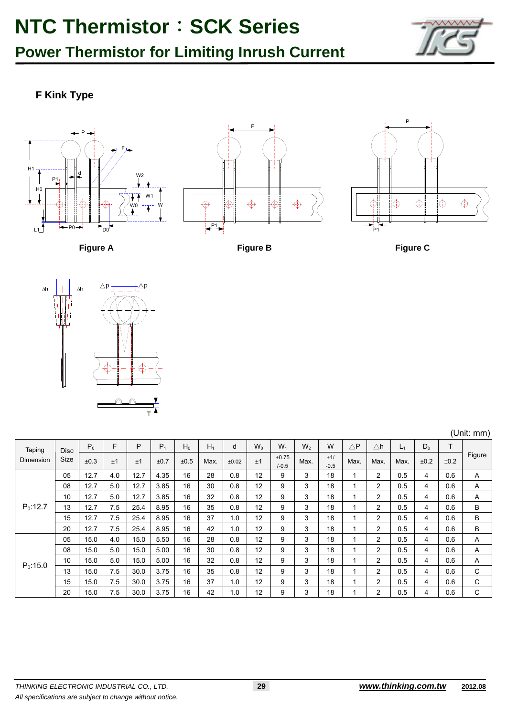**Power Thermistor for Limiting Inrush Current** 



### **F Kink Type**







**Figure A** Figure B Figure B Figure C



| (Unit: mm) |  |
|------------|--|
|            |  |

| Taping     | <b>Disc</b> | $P_0$ | F   | P    | $P_1$ | $H_0$ | $H_1$ | d     | $W_0$ | $W_1$                | $W_2$ | W               | $\triangle \mathsf{P}$ | $\triangle$ h  | $L_1$ | $D_0$ | т    |        |
|------------|-------------|-------|-----|------|-------|-------|-------|-------|-------|----------------------|-------|-----------------|------------------------|----------------|-------|-------|------|--------|
| Dimension  | Size        | ±0.3  | ±1  | ±1   | ±0.7  | ±0.5  | Max.  | ±0.02 | ±1    | $+0.75$<br>$1 - 0.5$ | Max.  | $+1/$<br>$-0.5$ | Max.                   | Max.           | Max.  | ±0.2  | ±0.2 | Figure |
|            | 05          | 12.7  | 4.0 | 12.7 | 4.35  | 16    | 28    | 0.8   | 12    | 9                    | 3     | 18              |                        | $\overline{2}$ | 0.5   | 4     | 0.6  | A      |
|            | 08          | 12.7  | 5.0 | 12.7 | 3.85  | 16    | 30    | 0.8   | 12    | 9                    | 3     | 18              |                        | $\overline{2}$ | 0.5   | 4     | 0.6  | A      |
|            | 10          | 12.7  | 5.0 | 12.7 | 3.85  | 16    | 32    | 0.8   | 12    | 9                    | 3     | 18              |                        | 2              | 0.5   | 4     | 0.6  | A      |
| $P_0:12.7$ | 13          | 12.7  | 7.5 | 25.4 | 8.95  | 16    | 35    | 0.8   | 12    | 9                    | 3     | 18              |                        | 2              | 0.5   | 4     | 0.6  | B      |
|            | 15          | 12.7  | 7.5 | 25.4 | 8.95  | 16    | 37    | 1.0   | 12    | 9                    | 3     | 18              |                        | $\overline{2}$ | 0.5   | 4     | 0.6  | B      |
|            | 20          | 12.7  | 7.5 | 25.4 | 8.95  | 16    | 42    | 1.0   | 12    | 9                    | 3     | 18              |                        | 2              | 0.5   | 4     | 0.6  | B      |
|            | 05          | 15.0  | 4.0 | 15.0 | 5.50  | 16    | 28    | 0.8   | 12    | 9                    | 3     | 18              |                        | $\overline{2}$ | 0.5   | 4     | 0.6  | A      |
|            | 08          | 15.0  | 5.0 | 15.0 | 5.00  | 16    | 30    | 0.8   | 12    | 9                    | 3     | 18              |                        | 2              | 0.5   | 4     | 0.6  | A      |
| $P_0:15.0$ | 10          | 15.0  | 5.0 | 15.0 | 5.00  | 16    | 32    | 0.8   | 12    | 9                    | 3     | 18              |                        | 2              | 0.5   | 4     | 0.6  | A      |
|            | 13          | 15.0  | 7.5 | 30.0 | 3.75  | 16    | 35    | 0.8   | 12    | 9                    | 3     | 18              |                        | $\overline{2}$ | 0.5   | 4     | 0.6  | C      |
|            | 15          | 15.0  | 7.5 | 30.0 | 3.75  | 16    | 37    | 1.0   | 12    | 9                    | 3     | 18              |                        | $\overline{2}$ | 0.5   | 4     | 0.6  | C      |
|            | 20          | 15.0  | 7.5 | 30.0 | 3.75  | 16    | 42    | 1.0   | 12    | 9                    | 3     | 18              |                        | 2              | 0.5   | 4     | 0.6  | C      |